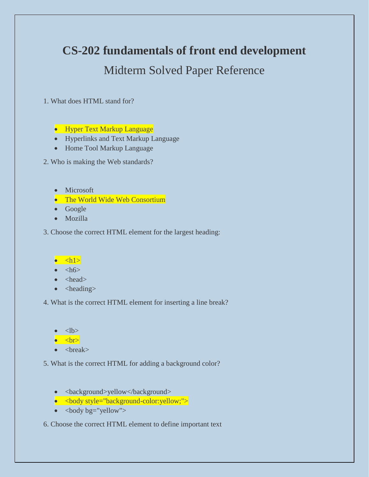# **CS-202 fundamentals of front end development**

# Midterm Solved Paper Reference

1. What does HTML stand for?

• Hyper Text Markup Language

- Hyperlinks and Text Markup Language
- Home Tool Markup Language

2. Who is making the Web standards?

- Microsoft
- The World Wide Web Consortium
- Google
- Mozilla

#### 3. Choose the correct HTML element for the largest heading:

## $\bullet \quad \text{dh1}$

#### $\bullet \quad$  <h6>

- $\bullet$  <head>
- $\bullet$  <heading>

4. What is the correct HTML element for inserting a line break?

 $<$ lb>

 $\bullet \quad$  <br>

 $\bullet \quad$  <br/> <br/> <br/> <br/> <br/> <br/> <br/> <br/> <br/> <br/> <br/> <br/> <br/> <br/> <br/> <br/> <br/> <br/> <br/> <br/> <br/> <br/><br/> $\bullet$ <br/> $\bullet$ <br/> $\bullet$ <br/> $\bullet$ <br/> $\bullet$ <br/> $\bullet$ <br/> $\bullet$ <br/> $\bullet$ <br/> $\bullet$ <b

5. What is the correct HTML for adding a background color?

- <br/>background>yellow</background>
- $\lt{\text{body style="background-color:}v:}\$
- $\bullet \quad$  <br/>body bg="yellow">

6. Choose the correct HTML element to define important text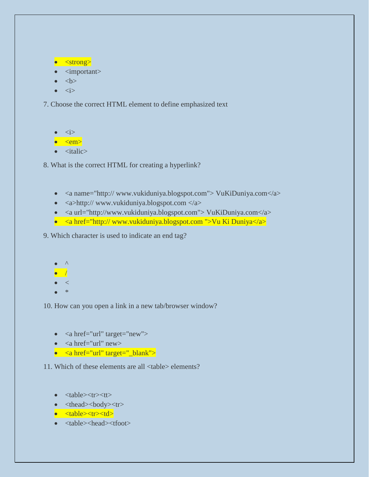```
• <strong>
```
- <important>
- $\bullet \quad **ob**$
- $\bullet$   $\langle i \rangle$

7. Choose the correct HTML element to define emphasized text

```
\langle i \rangle
```
 $\bullet \quad$  <em>

 $\bullet$   $\lt$ italic $\gt$ 

8. What is the correct HTML for creating a hyperlink?

- <a name="http:// www.vukiduniya.blogspot.com"> VuKiDuniya.com</a>
- $\langle a \rangle$ http:// www.vukiduniya.blogspot.com  $\langle a \rangle$
- $\langle a$  url="http://www.vukiduniya.blogspot.com"> VuKiDuniya.com $\langle a \rangle$
- $\langle a \cdot \rangle$  a href="http:// www.vukiduniya.blogspot.com ">Vu Ki Duniya $\langle a \rangle$

9. Which character is used to indicate an end tag?

- $\lambda$
- $\overline{\phantom{a}}$
- $\bullet$   $\lt$
- \*

10. How can you open a link in a new tab/browser window?

- $\langle a \text{ href} = \text{url} \text{ "target} = \text{``new"} \rangle$
- $\langle a \text{ href} = \text{url} \text{ m} \text{ new} \rangle$
- <a href="url" target="\_blank">

11. Which of these elements are all <table> elements?

- $\bullet$  <table> $\lt t$ r> $\lt t$ t $>$
- <thead><br/>body><tr>
- <table><tr><td>
- <table><head><tfoot>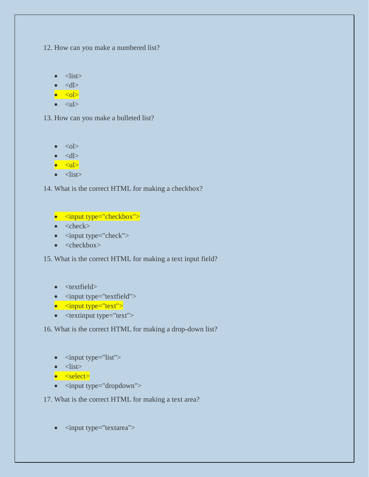12. How can you make a numbered list?

```
\bullet <list>
```
- $\bullet \quad <\!\!dl\!\!>$
- $\bullet \quad <\circ$ l $>$
- $\bullet \quad \text{}< \text{ul}$

13. How can you make a bulleted list?

- $\bullet \quad <\circ$ l $>$
- $\bullet \quad <\!\!dl\!\!>$
- $\bullet \quad \text{<} \text{ul}$

```
\bullet <list>
```
14. What is the correct HTML for making a checkbox?

```
• <input type="checkbox">
```

```
\bullet \quad <check>
```

```
\bullet <input type="check">
```

```
• <checkbox>
```
15. What is the correct HTML for making a text input field?

```
• <textfield>
```
- <input type="textfield">
- $\bullet$  <input type="text">
- $\bullet$  <textinput type="text">

16. What is the correct HTML for making a drop-down list?

```
\bullet <input type="list">
```

```
\bullet <list>
```

```
• <select>
```
• <input type="dropdown">

17. What is the correct HTML for making a text area?

```
• <input type="textarea">
```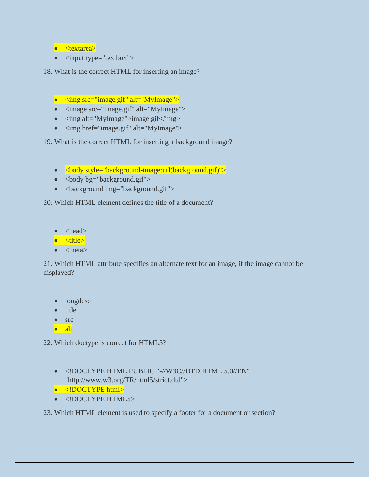```
• <textarea>
```
 $\bullet$  <input type="textbox">

18. What is the correct HTML for inserting an image?

- $\langle \text{img src} = \text{image.get} \text{ "alt} = \text{myImage} \rangle$
- $\langle$  image src="image.gif" alt="MyImage">
- $\langle \text{img alt} = "MyImage" > \text{image.get} \langle \text{img} \rangle$
- $\langle \text{img href} = \text{image.gif" alt} = \text{MyImage}$

19. What is the correct HTML for inserting a background image?

- $\langle \text{body style} = \text{background-image:url}(\text{background.gif}) \rangle$
- $\bullet$  <br/> <br/> <br/> <br/> <br/>eddy bg="background.gif">
- <background img="background.gif">

20. Which HTML element defines the title of a document?

 $\bullet$  <head>

 $\bullet$   $\lt$ title $\gt$ 

 $\bullet$  <meta>

21. Which HTML attribute specifies an alternate text for an image, if the image cannot be displayed?

- longdesc
- title
- src
- alt

22. Which doctype is correct for HTML5?

• <!DOCTYPE HTML PUBLIC "-//W3C//DTD HTML 5.0//EN" "http://www.w3.org/TR/html5/strict.dtd">

```
• <!DOCTYPE html>
```
• <!DOCTYPE HTML5>

23. Which HTML element is used to specify a footer for a document or section?